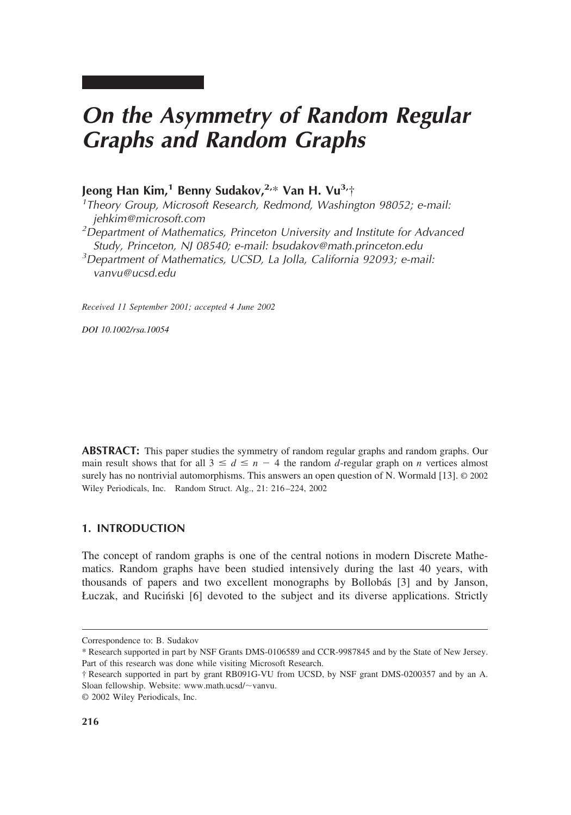# *On the Asymmetry of Random Regular Graphs and Random Graphs*

# **Jeong Han Kim,1 Benny Sudakov,2,**\* **Van H. Vu3,**† *<sup>1</sup>*

*Theory Group, Microsoft Research, Redmond, Washington 98052; e-mail: jehkim@microsoft.com <sup>2</sup> Department of Mathematics, Princeton University and Institute for Advanced Study, Princeton, NJ 08540; e-mail: bsudakov@math.princeton.edu <sup>3</sup> Department of Mathematics, UCSD, La Jolla, California 92093; e-mail: vanvu@ucsd.edu*

*Received 11 September 2001; accepted 4 June 2002*

*DOI 10.1002/rsa.10054*

**ABSTRACT:** This paper studies the symmetry of random regular graphs and random graphs. Our main result shows that for all  $3 \le d \le n - 4$  the random *d*-regular graph on *n* vertices almost surely has no nontrivial automorphisms. This answers an open question of N. Wormald [13]. © 2002 Wiley Periodicals, Inc. Random Struct. Alg., 21: 216–224, 2002

# **1. INTRODUCTION**

The concept of random graphs is one of the central notions in modern Discrete Mathematics. Random graphs have been studied intensively during the last 40 years, with thousands of papers and two excellent monographs by Bollobás [3] and by Janson, Łuczak, and Rucin´ski [6] devoted to the subject and its diverse applications. Strictly

Correspondence to: B. Sudakov

<sup>\*</sup> Research supported in part by NSF Grants DMS-0106589 and CCR-9987845 and by the State of New Jersey. Part of this research was done while visiting Microsoft Research.

<sup>†</sup> Research supported in part by grant RB091G-VU from UCSD, by NSF grant DMS-0200357 and by an A. Sloan fellowship. Website: www.math.ucsd/~vanvu.

<sup>©</sup> 2002 Wiley Periodicals, Inc.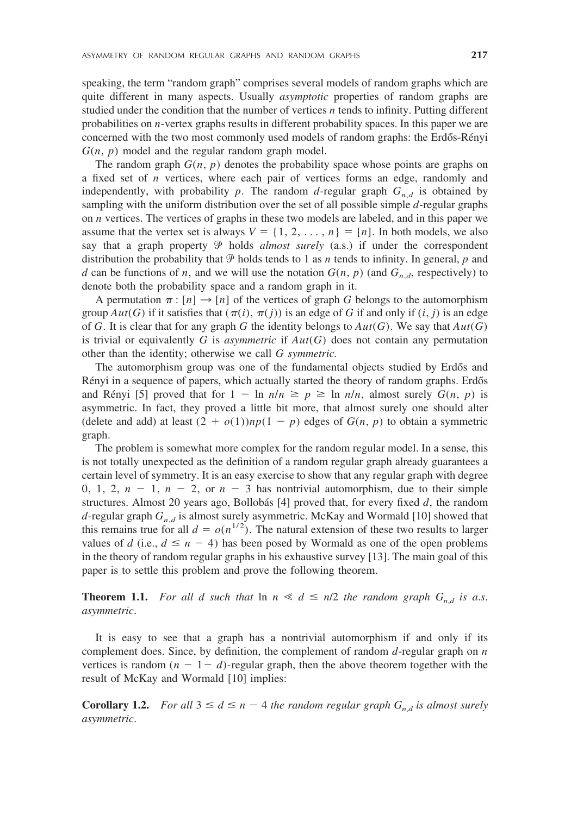speaking, the term "random graph" comprises several models of random graphs which are quite different in many aspects. Usually *asymptotic* properties of random graphs are studied under the condition that the number of vertices *n* tends to infinity. Putting different probabilities on *n*-vertex graphs results in different probability spaces. In this paper we are concerned with the two most commonly used models of random graphs: the Erdős-Rényi *G*(*n*, *p*) model and the regular random graph model.

The random graph  $G(n, p)$  denotes the probability space whose points are graphs on a fixed set of *n* vertices, where each pair of vertices forms an edge, randomly and independently, with probability *p*. The random *d*-regular graph  $G_{n,d}$  is obtained by sampling with the uniform distribution over the set of all possible simple *d*-regular graphs on *n* vertices. The vertices of graphs in these two models are labeled, and in this paper we assume that the vertex set is always  $V = \{1, 2, \ldots, n\} = [n]$ . In both models, we also say that a graph property  $\mathcal P$  holds *almost surely* (a.s.) if under the correspondent distribution the probability that  $P$  holds tends to 1 as *n* tends to infinity. In general, *p* and *d* can be functions of *n*, and we will use the notation  $G(n, p)$  (and  $G_{n,d}$ , respectively) to denote both the probability space and a random graph in it.

A permutation  $\pi$  :  $[n] \rightarrow [n]$  of the vertices of graph *G* belongs to the automorphism group  $Aut(G)$  if it satisfies that  $(\pi(i), \pi(j))$  is an edge of *G* if and only if  $(i, j)$  is an edge of *G*. It is clear that for any graph *G* the identity belongs to  $Aut(G)$ . We say that  $Aut(G)$ is trivial or equivalently *G* is *asymmetric* if  $Aut(G)$  does not contain any permutation other than the identity; otherwise we call *G symmetric.*

The automorphism group was one of the fundamental objects studied by Erdős and Rényi in a sequence of papers, which actually started the theory of random graphs. Erdős and Rényi [5] proved that for  $1 - \ln n/n \ge p \ge \ln n/n$ , almost surely  $G(n, p)$  is asymmetric. In fact, they proved a little bit more, that almost surely one should alter (delete and add) at least  $(2 + o(1))np(1 - p)$  edges of  $G(n, p)$  to obtain a symmetric graph.

The problem is somewhat more complex for the random regular model. In a sense, this is not totally unexpected as the definition of a random regular graph already guarantees a certain level of symmetry. It is an easy exercise to show that any regular graph with degree 0, 1, 2,  $n - 1$ ,  $n - 2$ , or  $n - 3$  has nontrivial automorphism, due to their simple structures. Almost 20 years ago, Bollobás  $[4]$  proved that, for every fixed  $d$ , the random *d*-regular graph  $G_{n,d}$  is almost surely asymmetric. McKay and Wormald [10] showed that this remains true for all  $d = o(n^{1/2})$ . The natural extension of these two results to larger values of *d* (i.e.,  $d \leq n - 4$ ) has been posed by Wormald as one of the open problems in the theory of random regular graphs in his exhaustive survey [13]. The main goal of this paper is to settle this problem and prove the following theorem.

**Theorem 1.1.** For all d such that  $\ln n \ll d \le n/2$  the random graph  $G_{n,d}$  is a.s. *asymmetric*.

It is easy to see that a graph has a nontrivial automorphism if and only if its complement does. Since, by definition, the complement of random *d*-regular graph on *n* vertices is random  $(n - 1 - d)$ -regular graph, then the above theorem together with the result of McKay and Wormald [10] implies:

**Corollary 1.2.** *For all*  $3 \leq d \leq n - 4$  *the random regular graph*  $G_{n,d}$  *is almost surely asymmetric*.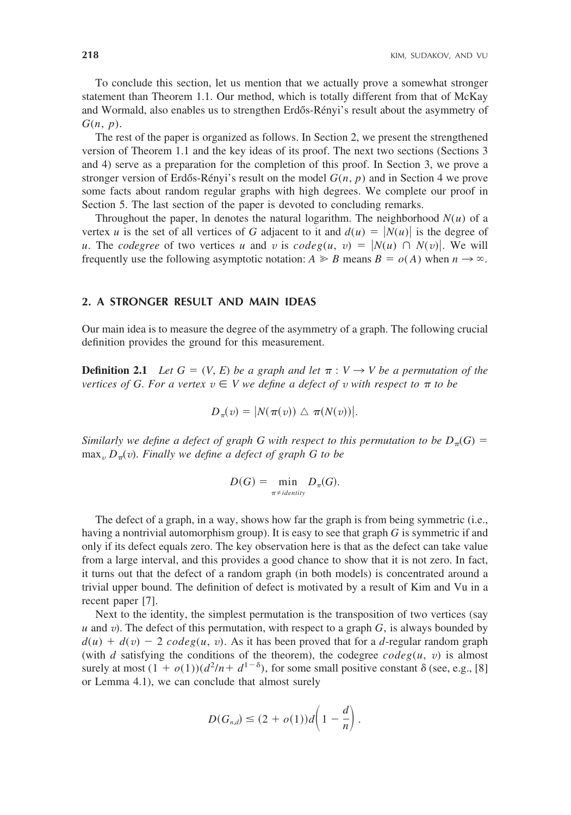To conclude this section, let us mention that we actually prove a somewhat stronger statement than Theorem 1.1. Our method, which is totally different from that of McKay and Wormald, also enables us to strengthen Erdős-Rényi's result about the asymmetry of *G*(*n*, *p*).

The rest of the paper is organized as follows. In Section 2, we present the strengthened version of Theorem 1.1 and the key ideas of its proof. The next two sections (Sections 3 and 4) serve as a preparation for the completion of this proof. In Section 3, we prove a stronger version of Erdős-Rényi's result on the model  $G(n, p)$  and in Section 4 we prove some facts about random regular graphs with high degrees. We complete our proof in Section 5. The last section of the paper is devoted to concluding remarks.

Throughout the paper, In denotes the natural logarithm. The neighborhood  $N(u)$  of a vertex *u* is the set of all vertices of *G* adjacent to it and  $d(u) = |N(u)|$  is the degree of *u*. The *codegree* of two vertices *u* and *v* is  $codeg(u, v) = |N(u) \cap N(v)|$ . We will frequently use the following asymptotic notation:  $A \ge B$  means  $B = o(A)$  when  $n \to \infty$ .

#### **2. A STRONGER RESULT AND MAIN IDEAS**

Our main idea is to measure the degree of the asymmetry of a graph. The following crucial definition provides the ground for this measurement.

**Definition 2.1** *Let*  $G = (V, E)$  *be a graph and let*  $\pi : V \rightarrow V$  *be a permutation of the*  $v$ ertices of  $G$ . For a vertex  $v \in V$  we define a defect of  $v$  with respect to  $\pi$  to be

$$
D_{\pi}(v) = |N(\pi(v)) \bigtriangleup \pi(N(v))|.
$$

*Similarly we define a defect of graph G with respect to this permutation to be*  $D_{\pi}(G)$  = max*<sup>v</sup> D*-(*v*). *Finally we define a defect of graph G to be*

$$
D(G) = \min_{\pi \neq \text{identity}} D_{\pi}(G).
$$

The defect of a graph, in a way, shows how far the graph is from being symmetric (i.e., having a nontrivial automorphism group). It is easy to see that graph *G* is symmetric if and only if its defect equals zero. The key observation here is that as the defect can take value from a large interval, and this provides a good chance to show that it is not zero. In fact, it turns out that the defect of a random graph (in both models) is concentrated around a trivial upper bound. The definition of defect is motivated by a result of Kim and Vu in a recent paper [7].

Next to the identity, the simplest permutation is the transposition of two vertices (say *u* and *v*). The defect of this permutation, with respect to a graph *G*, is always bounded by  $d(u) + d(v) - 2$  *codeg*(*u*, *v*). As it has been proved that for a *d*-regular random graph (with *d* satisfying the conditions of the theorem), the codegree  $codeg(u, v)$  is almost surely at most  $(1 + o(1))(d^2/n + d^{1-\delta})$ , for some small positive constant  $\delta$  (see, e.g., [8] or Lemma 4.1), we can conclude that almost surely

$$
D(G_{n,d}) \leq (2+o(1))d\left(1-\frac{d}{n}\right).
$$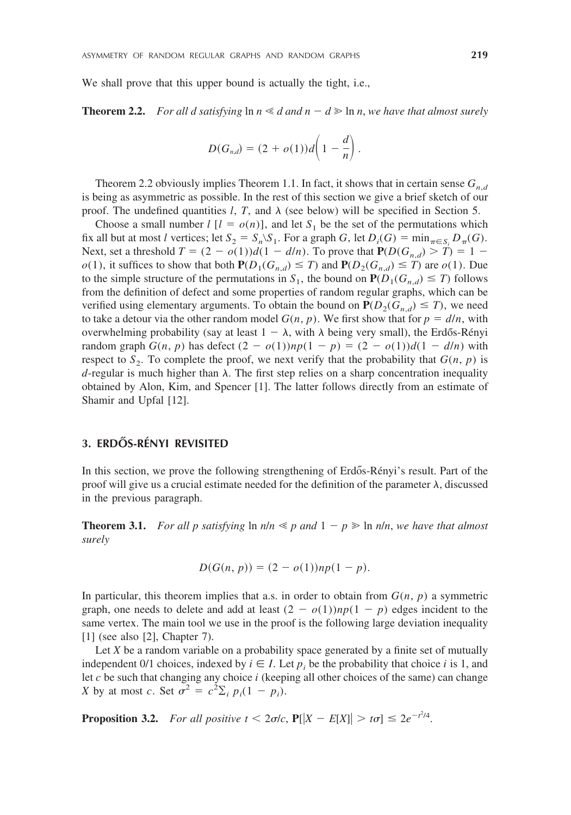We shall prove that this upper bound is actually the tight, i.e.,

**Theorem 2.2.** *For all d satisfying*  $\ln n \ll d$  *and*  $n - d \geq \ln n$ *, we have that almost surely* 

$$
D(G_{n,d})=(2+o(1))d\left(1-\frac{d}{n}\right).
$$

Theorem 2.2 obviously implies Theorem 1.1. In fact, it shows that in certain sense  $G_{n,d}$ is being as asymmetric as possible. In the rest of this section we give a brief sketch of our proof. The undefined quantities  $l$ ,  $T$ , and  $\lambda$  (see below) will be specified in Section 5.

Choose a small number  $l \ [l = o(n)]$ , and let  $S_1$  be the set of the permutations which fix all but at most *l* vertices; let  $S_2 = S_n \ S_1$ . For a graph *G*, let  $D_i(G) = \min_{\pi \in S_i} D_{\pi}(G)$ . Next, set a threshold  $T = (2 - o(1))d(1 - d/n)$ . To prove that  $P(D(G_{n,d}) > T) = 1$  $o(1)$ , it suffices to show that both  $P(D_1(G_{n,d}) \leq T)$  and  $P(D_2(G_{n,d}) \leq T)$  are  $o(1)$ . Due to the simple structure of the permutations in  $S_1$ , the bound on  $P(D_1(G_{n,d}) \leq T)$  follows from the definition of defect and some properties of random regular graphs, which can be verified using elementary arguments. To obtain the bound on  $P(D_2(G_{n,d}) \leq T)$ , we need to take a detour via the other random model  $G(n, p)$ . We first show that for  $p = d/n$ , with overwhelming probability (say at least  $1 - \lambda$ , with  $\lambda$  being very small), the Erdős-Rényi random graph  $G(n, p)$  has defect  $(2 - o(1))np(1 - p) = (2 - o(1))d(1 - d/n)$  with respect to  $S_2$ . To complete the proof, we next verify that the probability that  $G(n, p)$  is  $d$ -regular is much higher than  $\lambda$ . The first step relies on a sharp concentration inequality obtained by Alon, Kim, and Spencer [1]. The latter follows directly from an estimate of Shamir and Upfal [12].

# **3. ERDO˝ S-RE´NYI REVISITED**

In this section, we prove the following strengthening of Erdős-Rényi's result. Part of the proof will give us a crucial estimate needed for the definition of the parameter  $\lambda$ , discussed in the previous paragraph.

**Theorem 3.1.** For all p satisfying  $\ln n/n \leq p$  and  $1 - p \geq \ln n/n$ , we have that almost *surely*

$$
D(G(n, p)) = (2 - o(1))np(1 - p).
$$

In particular, this theorem implies that a.s. in order to obtain from  $G(n, p)$  a symmetric graph, one needs to delete and add at least  $(2 - o(1))np(1 - p)$  edges incident to the same vertex. The main tool we use in the proof is the following large deviation inequality [1] (see also [2], Chapter 7).

Let *X* be a random variable on a probability space generated by a finite set of mutually independent 0/1 choices, indexed by  $i \in I$ . Let  $p_i$  be the probability that choice *i* is 1, and let *c* be such that changing any choice *i* (keeping all other choices of the same) can change *X* by at most *c*. Set  $\sigma^2 = c^2 \sum_i p_i (1 - p_i)$ .

**Proposition 3.2.** *For all positive t* <  $2\sigma/c$ ,  $\mathbf{P}[[X - E[X]] > t\sigma] \leq 2e^{-t^2/4}$ .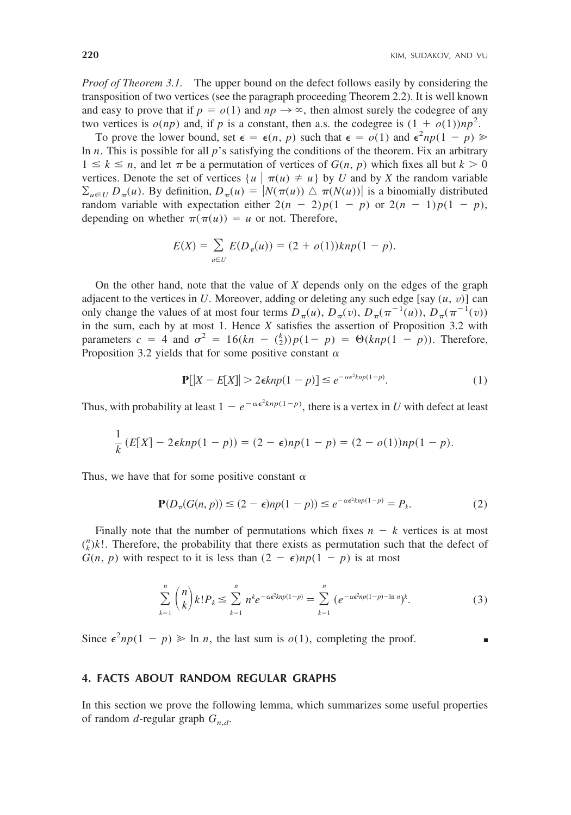*Proof of Theorem 3.1.* The upper bound on the defect follows easily by considering the transposition of two vertices (see the paragraph proceeding Theorem 2.2). It is well known and easy to prove that if  $p = o(1)$  and  $np \rightarrow \infty$ , then almost surely the codegree of any two vertices is  $o(np)$  and, if p is a constant, then a.s. the codegree is  $(1 + o(1))np^2$ .

To prove the lower bound, set  $\epsilon = \epsilon(n, p)$  such that  $\epsilon = o(1)$  and  $\epsilon^2 np(1 - p)$ ln *n*. This is possible for all *p*'s satisfying the conditions of the theorem. Fix an arbitrary  $1 \leq k \leq n$ , and let  $\pi$  be a permutation of vertices of  $G(n, p)$  which fixes all but  $k > 0$ vertices. Denote the set of vertices  $\{u \mid \pi(u) \neq u\}$  by *U* and by *X* the random variable  $\sum_{u \in U} D_{\pi}(u)$ . By definition,  $D_{\pi}(u) = |N(\pi(u)) \triangle \pi(N(u))|$  is a binomially distributed random variable with expectation either  $2(n - 2)p(1 - p)$  or  $2(n - 1)p(1 - p)$ , depending on whether  $\pi(\pi(u)) = u$  or not. Therefore,

$$
E(X) = \sum_{u \in U} E(D_{\pi}(u)) = (2 + o(1))knp(1 - p).
$$

On the other hand, note that the value of *X* depends only on the edges of the graph adjacent to the vertices in *U*. Moreover, adding or deleting any such edge [say  $(u, v)$ ] can only change the values of at most four terms  $D_{\pi}(u)$ ,  $D_{\pi}(v)$ ,  $D_{\pi}(\pi^{-1}(u))$ ,  $D_{\pi}(\pi^{-1}(v))$ in the sum, each by at most 1. Hence *X* satisfies the assertion of Proposition 3.2 with parameters  $c = 4$  and  $\sigma^2 = 16(kn - {k \choose 2})p(1-p) = \Theta(knp(1-p))$ . Therefore, Proposition 3.2 yields that for some positive constant  $\alpha$ 

$$
\mathbf{P}[|X - E[X]| > 2\epsilon knp(1-p)] \le e^{-\alpha\epsilon^2 knp(1-p)}.\tag{1}
$$

Thus, with probability at least  $1 - e^{-\alpha \epsilon^2 knp(1-p)}$ , there is a vertex in *U* with defect at least

$$
\frac{1}{k}(E[X] - 2\epsilon knp(1-p)) = (2 - \epsilon)np(1-p) = (2 - o(1))np(1-p).
$$

Thus, we have that for some positive constant  $\alpha$ 

$$
\mathbf{P}(D_{\pi}(G(n, p)) \le (2 - \epsilon)np(1 - p)) \le e^{-\alpha \epsilon^2 knp(1 - p)} = P_k.
$$
\n(2)

Finally note that the number of permutations which fixes  $n - k$  vertices is at most  $\binom{n}{k}k!$ . Therefore, the probability that there exists as permutation such that the defect of  $G(n, p)$  with respect to it is less than  $(2 - \epsilon)np(1 - p)$  is at most

$$
\sum_{k=1}^{n} {n \choose k} k! P_k \le \sum_{k=1}^{n} n^k e^{-\alpha \epsilon^2 k n p (1-p)} = \sum_{k=1}^{n} (e^{-\alpha \epsilon^2 n p (1-p) - \ln n})^k.
$$
 (3)

Since  $\epsilon^2 np(1 - p) \ge \ln n$ , the last sum is  $o(1)$ , completing the proof.

# **4. FACTS ABOUT RANDOM REGULAR GRAPHS**

In this section we prove the following lemma, which summarizes some useful properties of random *d*-regular graph  $G_{n,d}$ .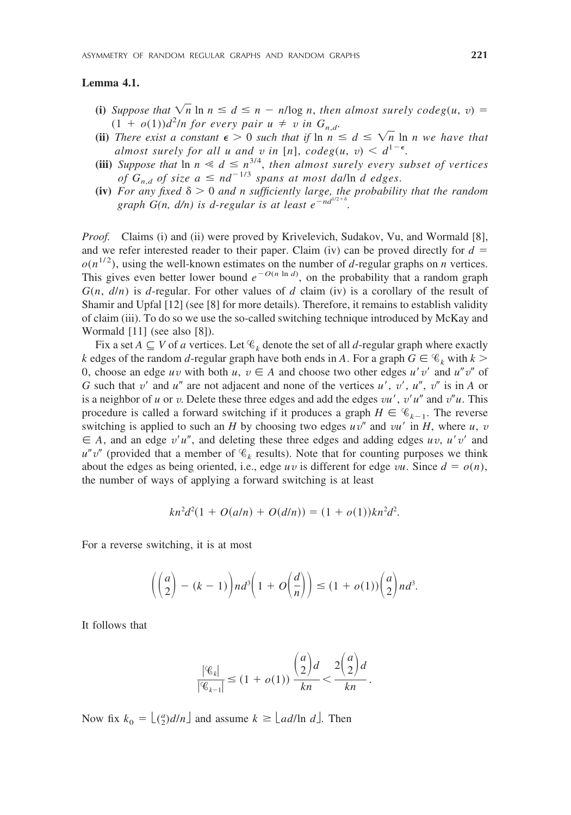# **Lemma 4.1.**

- **(i)** *Suppose that*  $\sqrt{n} \ln n \leq d \leq n \frac{n}{\log n}$ , *then almost surely codeg*(*u, v*) =  $(1 + o(1))d^2/n$  for every pair  $u \neq v$  in  $G_{n,d}$ .
- **(ii)** *There exist a constant*  $\epsilon > 0$  *such that if*  $\ln n \leq d \leq \sqrt{n} \ln n$  *we have that almost surely for all u and v in* [n],  $codeg(u, v) < d^{1-\epsilon}$ .
- **(iii)** *Suppose that*  $\ln n \leq d \leq n^{3/4}$ , *then almost surely every subset of vertices of*  $G_{n,d}$  *of size*  $a \le nd^{-1/3}$  *spans at most da*/ln *d edges.*
- **(iv)** For any fixed  $\delta > 0$  and n sufficiently large, the probability that the random *graph G(n, d/n) is d-regular is at least*  $e^{-nd^{1/2}}$ .

*Proof.* Claims (i) and (ii) were proved by Krivelevich, Sudakov, Vu, and Wormald [8], and we refer interested reader to their paper. Claim (iv) can be proved directly for  $d =$  $o(n^{1/2})$ , using the well-known estimates on the number of *d*-regular graphs on *n* vertices. This gives even better lower bound  $e^{-O(n \ln d)}$ , on the probability that a random graph  $G(n, d/n)$  is *d*-regular. For other values of *d* claim (iv) is a corollary of the result of Shamir and Upfal [12] (see [8] for more details). Therefore, it remains to establish validity of claim (iii). To do so we use the so-called switching technique introduced by McKay and Wormald [11] (see also [8]).

Fix a set  $A \subseteq V$  of *a* vertices. Let  $\mathcal{C}_k$  denote the set of all *d*-regular graph where exactly *k* edges of the random *d*-regular graph have both ends in *A*. For a graph  $G \in \mathcal{C}_k$  with  $k >$ 0, choose an edge *uv* with both *u*,  $v \in A$  and choose two other edges *u'v'* and *u"v"* of *G* such that  $v'$  and  $u''$  are not adjacent and none of the vertices  $u'$ ,  $v'$ ,  $u''$ ,  $v''$  is in *A* or is a neighbor of *u* or *v*. Delete these three edges and add the edges *vu*, *v'u'* and  $v''u$ . This procedure is called a forward switching if it produces a graph  $H \in \mathcal{C}_{k-1}$ . The reverse switching is applied to such an *H* by choosing two edges  $uv''$  and  $vu'$  in *H*, where  $u, v$  $\in$  *A*, and an edge *v'u"*, and deleting these three edges and adding edges *uv*, *u'v'* and  $u''v''$  (provided that a member of  $\mathcal{C}_k$  results). Note that for counting purposes we think about the edges as being oriented, i.e., edge  $uv$  is different for edge  $vu$ . Since  $d = o(n)$ , the number of ways of applying a forward switching is at least

$$
kn^2d^2(1 + O(a/n) + O(d/n)) = (1 + o(1))kn^2d^2.
$$

For a reverse switching, it is at most

$$
\left(\binom{a}{2} - (k-1)\right)nd^3\left(1 + O\left(\frac{d}{n}\right)\right) \leq (1 + o(1))\binom{a}{2}nd^3.
$$

It follows that

$$
\frac{|\mathcal{C}_k|}{|\mathcal{C}_{k-1}|} \le (1+o(1)) \frac{\binom{a}{2}d}{kn} < \frac{2\binom{a}{2}d}{kn}.
$$

Now fix  $k_0 = \lfloor \frac{a}{2} d/n \rfloor$  and assume  $k \ge \lfloor ad/\ln d \rfloor$ . Then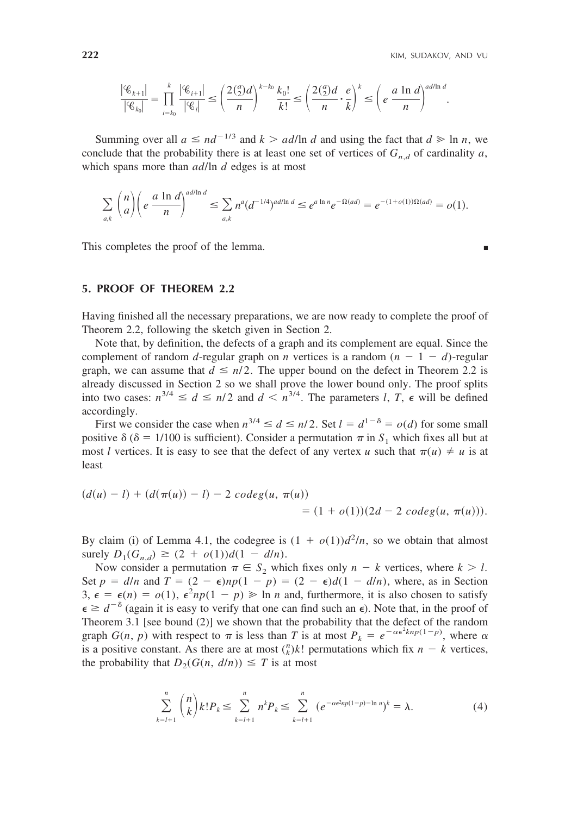$$
\frac{|\mathscr{C}_{k+1}|}{|\mathscr{C}_{k_0}|} = \prod_{i=k_0}^k \frac{|\mathscr{C}_{i+1}|}{|\mathscr{C}_i|} \le \left(\frac{2(\frac{a}{2})d}{n}\right)^{k-k_0} \frac{k_0!}{k!} \le \left(\frac{2(\frac{a}{2})d}{n} \cdot \frac{e}{k}\right)^k \le \left(e\frac{a\ln d}{n}\right)^{ad/\ln d}.
$$

Summing over all  $a \leq nd^{-1/3}$  and  $k > ad/\ln d$  and using the fact that  $d \geq \ln n$ , we conclude that the probability there is at least one set of vertices of  $G_{n,d}$  of cardinality *a*, which spans more than *ad*/ln *d* edges is at most

$$
\sum_{a,k} \binom{n}{a} \left( e^{\frac{a \ln d}{n}} \right)^{ad/\ln d} \leq \sum_{a,k} n^a (d^{-1/4})^{ad/\ln d} \leq e^{a \ln n} e^{-\Omega(ad)} = e^{-(1+o(1))\Omega(ad)} = o(1).
$$

This completes the proof of the lemma.

# **5. PROOF OF THEOREM 2.2**

Having finished all the necessary preparations, we are now ready to complete the proof of Theorem 2.2, following the sketch given in Section 2.

Note that, by definition, the defects of a graph and its complement are equal. Since the complement of random *d*-regular graph on *n* vertices is a random  $(n - 1 - d)$ -regular graph, we can assume that  $d \le n/2$ . The upper bound on the defect in Theorem 2.2 is already discussed in Section 2 so we shall prove the lower bound only. The proof splits into two cases:  $n^{3/4} \le d \le n/2$  and  $d < n^{3/4}$ . The parameters *l*, *T*,  $\epsilon$  will be defined accordingly.

First we consider the case when  $n^{3/4} \le d \le n/2$ . Set  $l = d^{1-\delta} = o(d)$  for some small positive  $\delta$  ( $\delta$  = 1/100 is sufficient). Consider a permutation  $\pi$  in  $S_1$  which fixes all but at most *l* vertices. It is easy to see that the defect of any vertex *u* such that  $\pi(u) \neq u$  is at least

$$
(d(u) - l) + (d(\pi(u)) - l) - 2 \, codeg(u, \pi(u))
$$
  
= (1 + o(1))(2d - 2 \, codeg(u, \pi(u))).

By claim (i) of Lemma 4.1, the codegree is  $(1 + o(1))d^2/n$ , so we obtain that almost surely  $D_1(G_{n,d}) \ge (2 + o(1))d(1 - d/n).$ 

Now consider a permutation  $\pi \in S_2$  which fixes only  $n - k$  vertices, where  $k > l$ . Set  $p = d/n$  and  $T = (2 - \epsilon)np(1 - p) = (2 - \epsilon)d(1 - d/n)$ , where, as in Section  $3, \epsilon = \epsilon(n) = o(1), \epsilon^2 np(1 - p) \ge \ln n$  and, furthermore, it is also chosen to satisfy  $\epsilon \geq d^{-\delta}$  (again it is easy to verify that one can find such an  $\epsilon$ ). Note that, in the proof of Theorem 3.1 [see bound (2)] we shown that the probability that the defect of the random graph  $G(n, p)$  with respect to  $\pi$  is less than *T* is at most  $P_k = e^{-\alpha \epsilon^2 k n p(1-p)}$ , where  $\alpha$ is a positive constant. As there are at most  $\binom{n}{k}k!$  permutations which fix  $n - k$  vertices, the probability that  $D_2(G(n, d/n)) \leq T$  is at most

$$
\sum_{k=l+1}^{n} {n \choose k} k! P_k \le \sum_{k=l+1}^{n} n^k P_k \le \sum_{k=l+1}^{n} (e^{-\alpha \epsilon^2 n p (1-p) - \ln n})^k = \lambda.
$$
 (4)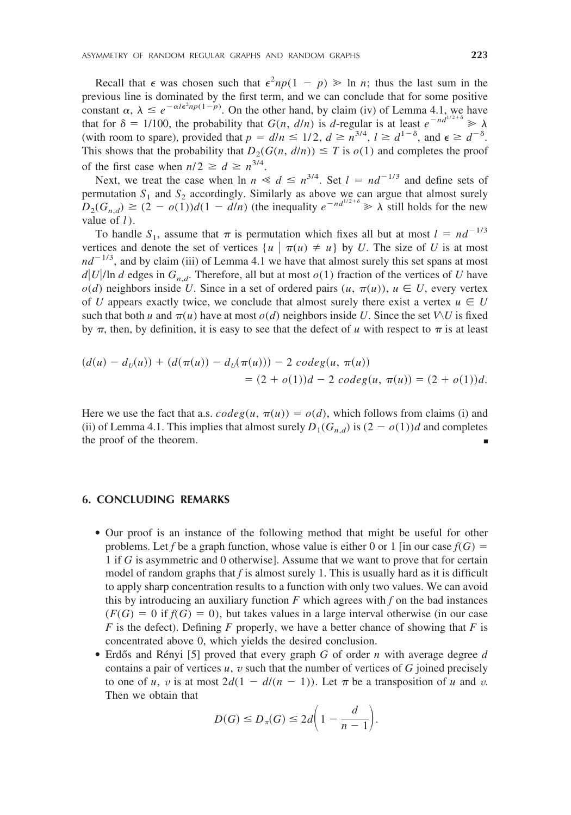Recall that  $\epsilon$  was chosen such that  $\epsilon^2 np(1 - p) \geq 1$  *n*; thus the last sum in the previous line is dominated by the first term, and we can conclude that for some positive constant  $\alpha$ ,  $\lambda \leq e^{-\alpha l \epsilon^2 np(1-p)}$ . On the other hand, by claim (iv) of Lemma 4.1, we have that for  $\delta = 1/100$ , the probability that  $G(n, d/n)$  is *d*-regular is at least  $e^{-nd^{1/2+\delta}} \ge \lambda$ (with room to spare), provided that  $p = d/n \le 1/2$ ,  $d \ge n^{3/4}$ ,  $l \ge d^{1-\delta}$ , and  $\epsilon \ge d^{-\delta}$ . This shows that the probability that  $D_2(G(n, d/n)) \leq T$  is  $o(1)$  and completes the proof of the first case when  $n/2 \ge d \ge n^{3/4}$ .

Next, we treat the case when  $\ln n \ll d \leq n^{3/4}$ . Set  $l = nd^{-1/3}$  and define sets of permutation  $S_1$  and  $S_2$  accordingly. Similarly as above we can argue that almost surely  $D_2(G_{n,d}) \ge (2 - o(1))d(1 - d/n)$  (the inequality  $e^{-nd^{1/2 + \delta}} \ge \lambda$  still holds for the new value of *l* ).

To handle  $S_1$ , assume that  $\pi$  is permutation which fixes all but at most  $l = nd^{-1/3}$ vertices and denote the set of vertices  $\{u \mid \pi(u) \neq u\}$  by *U*. The size of *U* is at most  $nd^{-1/3}$ , and by claim (iii) of Lemma 4.1 we have that almost surely this set spans at most  $d|U|$ In *d* edges in  $G_{n,d}$ . Therefore, all but at most  $o(1)$  fraction of the vertices of *U* have  $o(d)$  neighbors inside *U*. Since in a set of ordered pairs  $(u, \pi(u))$ ,  $u \in U$ , every vertex of *U* appears exactly twice, we conclude that almost surely there exist a vertex  $u \in U$ such that both *u* and  $\pi(u)$  have at most  $o(d)$  neighbors inside *U*. Since the set *V* $\vee$ *U* is fixed by  $\pi$ , then, by definition, it is easy to see that the defect of *u* with respect to  $\pi$  is at least

$$
\begin{aligned} (d(u) - d_U(u)) + (d(\pi(u)) - d_U(\pi(u))) - 2 \, codeg(u, \, \pi(u)) \\ &= (2 + o(1))d - 2 \, codeg(u, \, \pi(u)) = (2 + o(1))d. \end{aligned}
$$

Here we use the fact that a.s.  $codeg(u, \pi(u)) = o(d)$ , which follows from claims (i) and (ii) of Lemma 4.1. This implies that almost surely  $D_1(G_{n,d})$  is  $(2 - o(1))d$  and completes the proof of the theorem.

#### **6. CONCLUDING REMARKS**

- Our proof is an instance of the following method that might be useful for other problems. Let *f* be a graph function, whose value is either 0 or 1 [in our case  $f(G)$  = 1 if *G* is asymmetric and 0 otherwise]. Assume that we want to prove that for certain model of random graphs that *f* is almost surely 1. This is usually hard as it is difficult to apply sharp concentration results to a function with only two values. We can avoid this by introducing an auxiliary function *F* which agrees with *f* on the bad instances  $(F(G) = 0$  if  $f(G) = 0)$ , but takes values in a large interval otherwise (in our case *F* is the defect). Defining *F* properly, we have a better chance of showing that *F* is concentrated above 0, which yields the desired conclusion.
- Erdős and Rényi [5] proved that every graph *G* of order *n* with average degree *d* contains a pair of vertices  $u$ ,  $v$  such that the number of vertices of  $G$  joined precisely to one of *u*, *v* is at most  $2d(1 - d/(n - 1))$ . Let  $\pi$  be a transposition of *u* and *v*. Then we obtain that

$$
D(G) \le D_{\pi}(G) \le 2d\bigg(1 - \frac{d}{n-1}\bigg).
$$